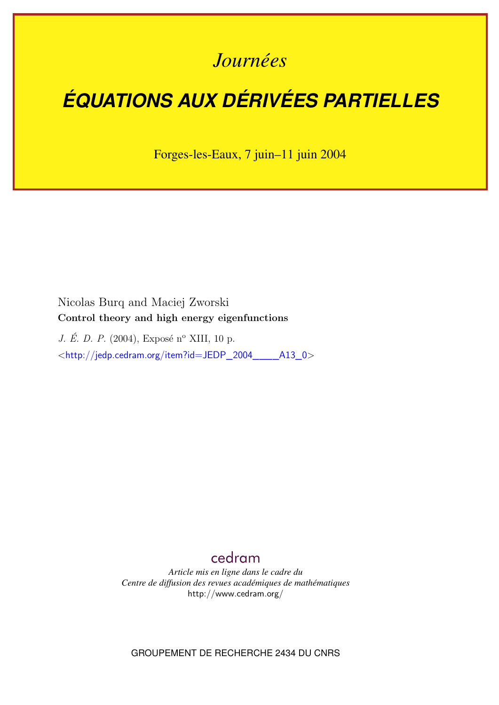## *Journées*

# *ÉQUATIONS AUX DÉRIVÉES PARTIELLES*

Forges-les-Eaux, 7 juin–11 juin 2004

Nicolas Burq and Maciej Zworski **Control theory and high energy eigenfunctions**

*J. É. D. P.* (2004), Exposé n<sup>o</sup> XIII, 10 p. <[http://jedp.cedram.org/item?id=JEDP\\_2004\\_\\_\\_\\_A13\\_0](http://jedp.cedram.org/item?id=JEDP_2004____A13_0)>

### [cedram](http://www.cedram.org/)

*Article mis en ligne dans le cadre du Centre de diffusion des revues académiques de mathématiques* <http://www.cedram.org/>

GROUPEMENT DE RECHERCHE 2434 DU CNRS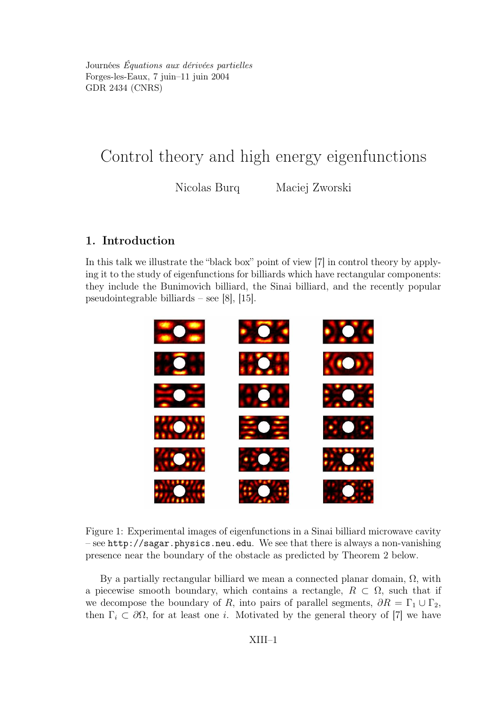Journées Équations aux dérivées partielles Forges-les-Eaux, 7 juin–11 juin 2004 GDR 2434 (CNRS)

## Control theory and high energy eigenfunctions

Nicolas Burq Maciej Zworski

#### 1. Introduction

In this talk we illustrate the "black box" point of view [7] in control theory by applying it to the study of eigenfunctions for billiards which have rectangular components: they include the Bunimovich billiard, the Sinai billiard, and the recently popular pseudointegrable billiards – see [8], [15].



Figure 1: Experimental images of eigenfunctions in a Sinai billiard microwave cavity – see http://sagar.physics.neu.edu. We see that there is always a non-vanishing presence near the boundary of the obstacle as predicted by Theorem 2 below.

By a partially rectangular billiard we mean a connected planar domain,  $Ω$ , with a piecewise smooth boundary, which contains a rectangle,  $R \subset \Omega$ , such that if we decompose the boundary of R, into pairs of parallel segments,  $\partial R = \Gamma_1 \cup \Gamma_2$ , then  $\Gamma_i \subset \partial \Omega$ , for at least one *i*. Motivated by the general theory of [7] we have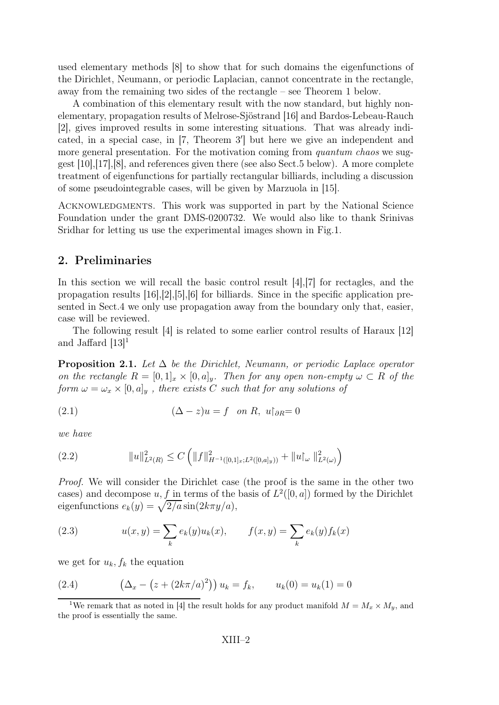used elementary methods [8] to show that for such domains the eigenfunctions of the Dirichlet, Neumann, or periodic Laplacian, cannot concentrate in the rectangle, away from the remaining two sides of the rectangle – see Theorem 1 below.

A combination of this elementary result with the now standard, but highly nonelementary, propagation results of Melrose-Sjöstrand [16] and Bardos-Lebeau-Rauch [2], gives improved results in some interesting situations. That was already indicated, in a special case, in  $[7,$  Theorem  $3'$  but here we give an independent and more general presentation. For the motivation coming from *quantum chaos* we suggest [10],[17],[8], and references given there (see also Sect.5 below). A more complete treatment of eigenfunctions for partially rectangular billiards, including a discussion of some pseudointegrable cases, will be given by Marzuola in [15].

ACKNOWLEDGMENTS. This work was supported in part by the National Science Foundation under the grant DMS-0200732. We would also like to thank Srinivas Sridhar for letting us use the experimental images shown in Fig.1.

#### 2. Preliminaries

In this section we will recall the basic control result [4], [7] for rectagles, and the propagation results  $[16],[2],[5],[6]$  for billiards. Since in the specific application presented in Sect.4 we only use propagation away from the boundary only that, easier, case will be reviewed.

The following result [4] is related to some earlier control results of Haraux [12] and Jaffard  $[13]$ <sup>1</sup>

**Proposition 2.1.** Let  $\Delta$  be the Dirichlet, Neumann, or periodic Laplace operator on the rectangle  $R = [0,1]_x \times [0,a]_y$ . Then for any open non-empty  $\omega \subset R$  of the form  $\omega = \omega_x \times [0, a]_y$ , there exists C such that for any solutions of

(2.1) 
$$
(\Delta - z)u = f \quad on \ R, \ u|_{\partial R} = 0
$$

we have

$$
(2.2) \t\t\t ||u||_{L^{2}(R)}^{2} \leq C \left( ||f||_{H^{-1}([0,1]_{x};L^{2}([0,a]_{y}))}^{2} + ||u|_{\omega} ||_{L^{2}(\omega)}^{2} \right)
$$

Proof. We will consider the Dirichlet case (the proof is the same in the other two cases) and decompose  $u, f$  in terms of the basis of  $L^2([0, a])$  formed by the Dirichlet eigenfunctions  $e_k(y) = \sqrt{2/a} \sin(2k\pi y/a)$ ,

(2.3) 
$$
u(x, y) = \sum_{k} e_k(y) u_k(x), \qquad f(x, y) = \sum_{k} e_k(y) f_k(x)
$$

we get for  $u_k, f_k$  the equation

(2.4) 
$$
\left(\Delta_x - \left(z + (2k\pi/a)^2\right)\right)u_k = f_k, \qquad u_k(0) = u_k(1) = 0
$$

<sup>&</sup>lt;sup>1</sup>We remark that as noted in [4] the result holds for any product manifold  $M = M_x \times M_y$ , and the proof is essentially the same.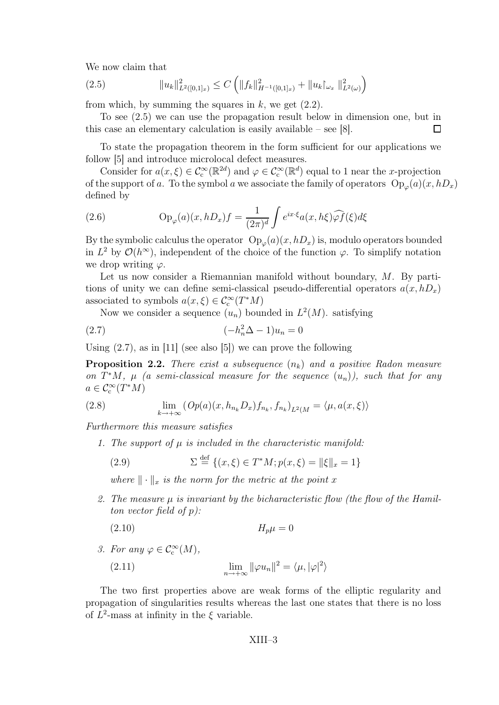We now claim that

$$
(2.5) \t\t\t ||u_k||_{L^2([0,1]_x)}^2 \le C \left( ||f_k||_{H^{-1}([0,1]_x)}^2 + ||u_k|_{\omega_x} ||_{L^2(\omega)}^2 \right)
$$

from which, by summing the squares in  $k$ , we get  $(2.2)$ .

To see (2.5) we can use the propagation result below in dimension one, but in this case an elementary calculation is easily available – see [8].  $\Box$ 

To state the propagation theorem in the form sufficient for our applications we follow [5] and introduce microlocal defect measures.

Consider for  $a(x,\xi) \in C_c^{\infty}(\mathbb{R}^2)$  and  $\varphi \in C_c^{\infty}(\mathbb{R}^d)$  equal to 1 near the *x*-projection of the support of a. To the symbol a we associate the family of operators  $Op_{\varphi}(a)(x,hD_x)$ defined by

(2.6) 
$$
\operatorname{Op}_{\varphi}(a)(x,hD_x)f = \frac{1}{(2\pi)^d} \int e^{ix\cdot\xi} a(x,h\xi) \widehat{\varphi f}(\xi) d\xi
$$

By the symbolic calculus the operator  $\mathrm{Op}_{\varphi}(a)(x,hD_x)$  is, modulo operators bounded in  $L^2$  by  $\mathcal{O}(h^{\infty})$ , independent of the choice of the function  $\varphi$ . To simplify notation we drop writing  $\varphi$ .

Let us now consider a Riemannian manifold without boundary, M. By partitions of unity we can define semi-classical pseudo-differential operators  $a(x, hD_x)$ associated to symbols  $a(x,\xi) \in C_c^{\infty}(T^*M)$ 

Now we consider a sequence  $(u_n)$  bounded in  $L^2(M)$ . satisfying

$$
(2.7) \qquad \qquad (-h_n^2 \Delta - 1)u_n = 0
$$

Using  $(2.7)$ , as in [11] (see also [5]) we can prove the following

**Proposition 2.2.** There exist a subsequence  $(n_k)$  and a positive Radon measure on  $T^*M$ ,  $\mu$  (a semi-classical measure for the sequence  $(u_n)$ ), such that for any  $a \in \mathcal{C}_{c}^{\infty}(T^{*}M)$ 

(2.8) 
$$
\lim_{k \to +\infty} \left( Op(a)(x, h_{n_k} D_x) f_{n_k}, f_{n_k} \right)_{L^2(M)} = \langle \mu, a(x, \xi) \rangle
$$

Furthermore this measure satisfies

1. The support of  $\mu$  is included in the characteristic manifold:

(2.9) 
$$
\Sigma \stackrel{\text{def}}{=} \{(x,\xi) \in T^*M; p(x,\xi) = ||\xi||_x = 1\}
$$

where  $\|\cdot\|_x$  is the norm for the metric at the point x

2. The measure  $\mu$  is invariant by the bicharacteristic flow (the flow of the Hamilton vector field of  $p$ ):

$$
(2.10) \t\t\t H_p \mu = 0
$$

3. For any  $\varphi \in C_{\mathrm{c}}^{\infty}(M)$ ,

(2.11) 
$$
\lim_{n \to +\infty} ||\varphi u_n||^2 = \langle \mu, |\varphi|^2 \rangle
$$

The two first properties above are weak forms of the elliptic regularity and propagation of singularities results whereas the last one states that there is no loss of  $L^2$ -mass at infinity in the  $\xi$  variable.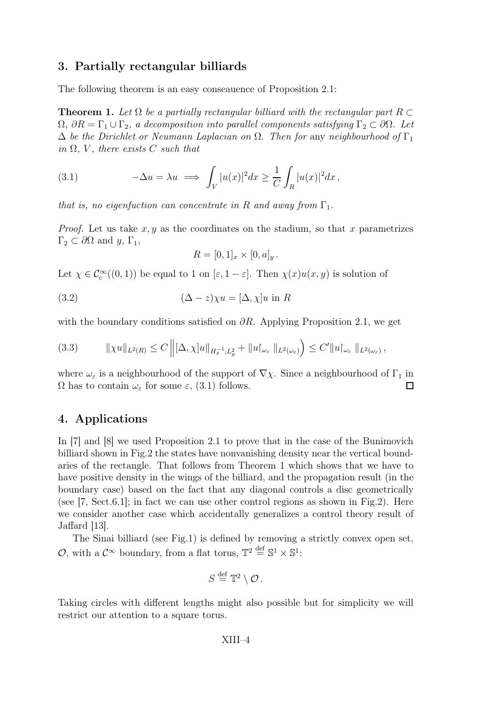#### 3. Partially rectangular billiards

The following theorem is an easy conseauence of Proposition 2.1:

**Theorem 1.** Let  $\Omega$  be a partially rectangular billiard with the rectangular part R  $\subset$  $\Omega$ ,  $\partial R = \Gamma_1 \cup \Gamma_2$ , a decomposition into parallel components satisfying  $\Gamma_2 \subset \partial \Omega$ . Let  $\Delta$  be the Dirichlet or Neumann Laplacian on  $\Omega$ . Then for any neighbourhood of  $\Gamma_1$ in  $\Omega$ , V, there exists C such that

(3.1) 
$$
-\Delta u = \lambda u \implies \int_V |u(x)|^2 dx \geq \frac{1}{C} \int_R |u(x)|^2 dx,
$$

that is, no eigenfuction can concentrate in R and away from  $\Gamma_1$ .

*Proof.* Let us take  $x, y$  as the coordinates on the stadium, so that x parametrizes  $\Gamma_2 \subset \partial \Omega$  and  $y, \Gamma_1$ ,

$$
R = [0, 1]_x \times [0, a]_y.
$$

Let  $\chi \in C_c^{\infty}((0,1))$  be equal to 1 on  $[\varepsilon, 1-\varepsilon]$ . Then  $\chi(x)u(x, y)$  is solution of

(3.2) 
$$
(\Delta - z)\chi u = [\Delta, \chi]u \text{ in } R
$$

with the boundary conditions satisfied on  $\partial R$ . Applying Proposition 2.1, we get

$$
(3.3) \t\t ||\chi u||_{L^2(R)} \leq C \left\| [\Delta, \chi]u\|_{H_x^{-1};L_y^2} + \|u\|_{\omega_{\varepsilon}} \, \|_{L^2(\omega_{\varepsilon})} \right) \leq C' \|u\|_{\omega_{\varepsilon}} \, \|_{L^2(\omega_{\varepsilon})},
$$

where  $\omega_{\varepsilon}$  is a neighbourhood of the support of  $\nabla \chi$ . Since a neighbourhood of  $\Gamma_1$  in  $\Omega$  has to contain  $\omega_{\varepsilon}$  for some  $\varepsilon$ , (3.1) follows.  $\Omega$  has to contain  $\omega_{\varepsilon}$  for some  $\varepsilon$ , (3.1) follows.

#### 4. Applications

In [7] and [8] we used Proposition 2.1 to prove that in the case of the Bunimovich billiard shown in Fig.2 the states have nonvanishing density near the vertical boundaries of the rectangle. That follows from Theorem 1 which shows that we have to have positive density in the wings of the billiard, and the propagation result (in the boundary case) based on the fact that any diagonal controls a disc geometrically (see  $[7, Sect.6.1];$  in fact we can use other control regions as shown in Fig.2). Here we consider another case which accidentally generalizes a control theory result of Jaffard [13].

The Sinai billiard (see Fig.1) is defined by removing a strictly convex open set, O, with a  $\mathcal{C}^{\infty}$  boundary, from a flat torus,  $\mathbb{T}^2 \stackrel{\text{def}}{=} \mathbb{S}^1 \times \mathbb{S}^1$ :

$$
S \stackrel{\text{def}}{=} \mathbb{T}^2 \setminus \mathcal{O} \, .
$$

Taking circles with different lengths might also possible but for simplicity we will restrict our attention to a square torus.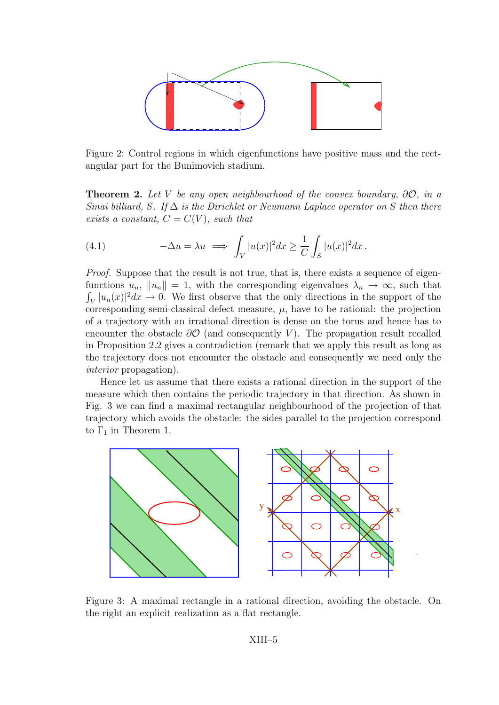

Figure 2: Control regions in which eigenfunctions have positive mass and the rectangular part for the Bunimovich stadium.

**Theorem 2.** Let V be any open neighbourhood of the convex boundary,  $\partial \mathcal{O}$ , in a Sinai billiard, S. If  $\Delta$  is the Dirichlet or Neumann Laplace operator on S then there exists a constant,  $C = C(V)$ , such that

(4.1) 
$$
-\Delta u = \lambda u \implies \int_V |u(x)|^2 dx \geq \frac{1}{C} \int_S |u(x)|^2 dx.
$$

Proof. Suppose that the result is not true, that is, there exists a sequence of eigenfunctions  $u_n$ ,  $||u_n|| = 1$ , with the corresponding eigenvalues  $\lambda_n \to \infty$ , such that  $\int_V |u_n(x)|^2 dx \to 0$ . We first observe that the only directions in the support of the corresponding semi-classical defect measure,  $\mu$ , have to be rational: the projection of a trajectory with an irrational direction is dense on the torus and hence has to encounter the obstacle  $\partial O$  (and consequently V). The propagation result recalled in Proposition 2.2 gives a contradiction (remark that we apply this result as long as the trajectory does not encounter the obstacle and consequently we need only the interior propagation).

Hence let us assume that there exists a rational direction in the support of the measure which then contains the periodic trajectory in that direction. As shown in Fig. 3 we can find a maximal rectangular neighbourhood of the projection of that trajectory which avoids the obstacle: the sides parallel to the projection correspond to  $\Gamma_1$  in Theorem 1.



Figure 3: A maximal rectangle in a rational direction, avoiding the obstacle. On the right an explicit realization as a flat rectangle.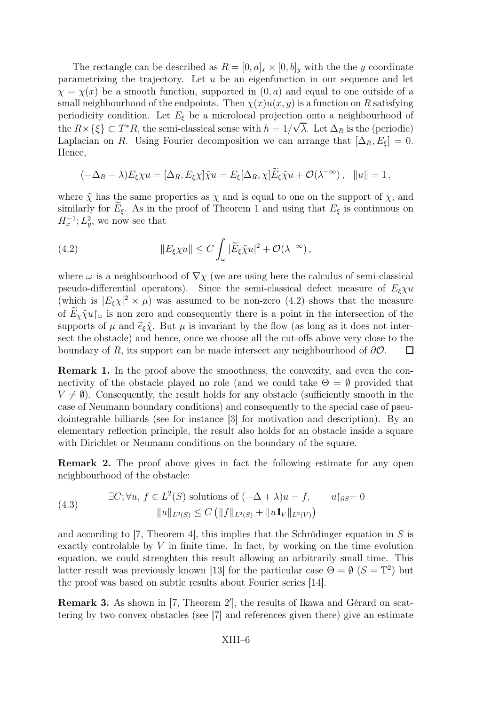The rectangle can be described as  $R = [0, a]_x \times [0, b]_y$  with the the y coordinate parametrizing the trajectory. Let  $u$  be an eigenfunction in our sequence and let  $\chi = \chi(x)$  be a smooth function, supported in  $(0, a)$  and equal to one outside of a small neighbourhood of the endpoints. Then  $\chi(x)u(x, y)$  is a function on R satisfying periodicity condition. Let  $E_{\xi}$  be a microlocal projection onto a neighbourhood of the  $R \times \{\xi\} \subset T^*R$ , the semi-classical sense with  $h = 1/\sqrt{\lambda}$ . Let  $\Delta_R$  is the (periodic) Laplacian on R. Using Fourier decomposition we can arrange that  $[\Delta_R, E_{\xi}] = 0$ . Hence,

$$
(-\Delta_R - \lambda)E_{\xi}\chi u = [\Delta_R, E_{\xi}\chi]\tilde{\chi}u = E_{\xi}[\Delta_R, \chi]\tilde{E}_{\xi}\tilde{\chi}u + \mathcal{O}(\lambda^{-\infty}), \quad ||u|| = 1,
$$

where  $\tilde{\chi}$  has the same properties as  $\chi$  and is equal to one on the support of  $\chi$ , and similarly for  $E_{\xi}$ . As in the proof of Theorem 1 and using that  $E_{\xi}$  is continuous on  $H_x^{-1}$ ;  $L_y^2$ , we now see that

(4.2) 
$$
||E_{\xi}\chi u|| \leq C \int_{\omega} |\widetilde{E}_{\xi}\tilde{\chi}u|^{2} + \mathcal{O}(\lambda^{-\infty}),
$$

where  $\omega$  is a neighbourhood of  $\nabla \chi$  (we are using here the calculus of semi-classical pseudo-differential operators). Since the semi-classical defect measure of  $E_{\epsilon} \chi u$ (which is  $|E_{\xi}\chi|^2 \times \mu$ ) was assumed to be non-zero (4.2) shows that the measure of  $\widetilde{E}_x \widetilde{\chi} u\vert_\omega$  is non zero and consequently there is a point in the intersection of the supports of  $\mu$  and  $\tilde{e}_{\xi}\tilde{\chi}$ . But  $\mu$  is invariant by the flow (as long as it does not intersect the obstacle) and hence, once we choose all the cut-offs above very close to the boundary of R, its support can be made intersect any neighbourhood of  $\partial O$ .  $\Box$ 

Remark 1. In the proof above the smoothness, the convexity, and even the connectivity of the obstacle played no role (and we could take  $\Theta = \emptyset$  provided that  $V \neq \emptyset$ ). Consequently, the result holds for any obstacle (sufficiently smooth in the case of Neumann boundary conditions) and consequently to the special case of pseudointegrable billiards (see for instance [3] for motivation and description). By an elementary reflection principle, the result also holds for an obstacle inside a square with Dirichlet or Neumann conditions on the boundary of the square.

Remark 2. The proof above gives in fact the following estimate for any open neighbourhood of the obstacle:

(4.3) 
$$
\exists C; \forall u, f \in L^{2}(S) \text{ solutions of } (-\Delta + \lambda)u = f, \qquad u|_{\partial S} = 0
$$

$$
||u||_{L^{2}(S)} \leq C (||f||_{L^{2}(S)} + ||u1||_{L^{2}(V)})
$$

and according to [7, Theorem 4], this implies that the Schrödinger equation in  $S$  is exactly controlable by  $V$  in finite time. In fact, by working on the time evolution equation, we could strenghten this result allowing an arbitrarily small time. This latter result was previously known [13] for the particular case  $\Theta = \emptyset$  ( $S = \mathbb{T}^2$ ) but the proof was based on subtle results about Fourier series [14].

**Remark 3.** As shown in  $[7,$  Theorem  $2'$ , the results of Ikawa and Gérard on scattering by two convex obstacles (see [7] and references given there) give an estimate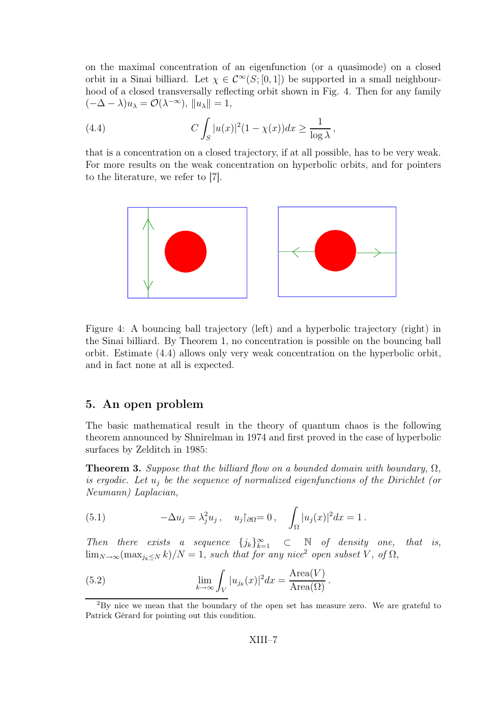on the maximal concentration of an eigenfunction (or a quasimode) on a closed orbit in a Sinai billiard. Let  $\chi \in C^{\infty}(S; [0, 1])$  be supported in a small neighbourhood of a closed transversally reflecting orbit shown in Fig. 4. Then for any family  $(-\Delta - \lambda)u_\lambda = \mathcal{O}(\lambda^{-\infty}), \|u_\lambda\| = 1,$ 

(4.4) 
$$
C \int_{S} |u(x)|^2 (1 - \chi(x)) dx \ge \frac{1}{\log \lambda},
$$

that is a concentration on a closed trajectory, if at all possible, has to be very weak. For more results on the weak concentration on hyperbolic orbits, and for pointers to the literature, we refer to [7].



Figure 4: A bouncing ball trajectory (left) and a hyperbolic trajectory (right) in the Sinai billiard. By Theorem 1, no concentration is possible on the bouncing ball orbit. Estimate (4.4) allows only very weak concentration on the hyperbolic orbit, and in fact none at all is expected.

#### 5. An open problem

The basic mathematical result in the theory of quantum chaos is the following theorem announced by Shnirelman in 1974 and first proved in the case of hyperbolic surfaces by Zelditch in 1985:

**Theorem 3.** Suppose that the billiard flow on a bounded domain with boundary,  $\Omega$ , is ergodic. Let  $u_i$  be the sequence of normalized eigenfunctions of the Dirichlet (or Neumann) Laplacian,

(5.1) 
$$
-\Delta u_j = \lambda_j^2 u_j, \quad u_j|_{\partial \Omega} = 0, \quad \int_{\Omega} |u_j(x)|^2 dx = 1.
$$

Then there exists a sequence  $\{j_k\}_{k=1}^{\infty} \subset N$  of density one, that is,  $\lim_{N\to\infty}(\max_{j_k\leq N}k)/N=1$ , such that for any nice<sup>2</sup> open subset V, of  $\Omega$ ,

(5.2) 
$$
\lim_{k \to \infty} \int_{V} |u_{j_k}(x)|^2 dx = \frac{\text{Area}(V)}{\text{Area}(\Omega)}.
$$

<sup>2</sup>By nice we mean that the boundary of the open set has measure zero. We are grateful to Patrick Gérard for pointing out this condition.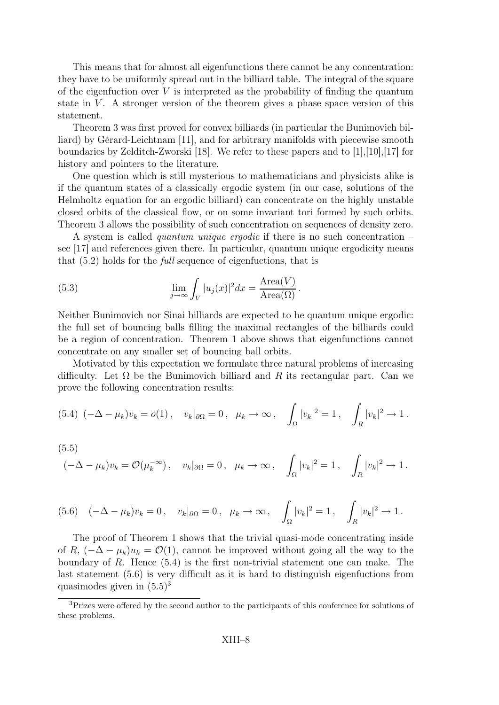This means that for almost all eigenfunctions there cannot be any concentration: they have to be uniformly spread out in the billiard table. The integral of the square of the eigenfuction over  $V$  is interpreted as the probability of finding the quantum state in  $V$ . A stronger version of the theorem gives a phase space version of this statement.

Theorem 3 was first proved for convex billiards (in particular the Bunimovich billiard) by Gérard-Leichtnam [11], and for arbitrary manifolds with piecewise smooth boundaries by Zelditch-Zworski [18]. We refer to these papers and to [1],[10],[17] for history and pointers to the literature.

One question which is still mysterious to mathematicians and physicists alike is if the quantum states of a classically ergodic system (in our case, solutions of the Helmholtz equation for an ergodic billiard) can concentrate on the highly unstable closed orbits of the classical flow, or on some invariant tori formed by such orbits. Theorem 3 allows the possibility of such concentration on sequences of density zero.

A system is called *quantum unique ergodic* if there is no such concentration – see [17] and references given there. In particular, quantum unique ergodicity means that (5.2) holds for the full sequence of eigenfuctions, that is

(5.3) 
$$
\lim_{j \to \infty} \int_{V} |u_j(x)|^2 dx = \frac{\text{Area}(V)}{\text{Area}(\Omega)}.
$$

Neither Bunimovich nor Sinai billiards are expected to be quantum unique ergodic: the full set of bouncing balls filling the maximal rectangles of the billiards could be a region of concentration. Theorem 1 above shows that eigenfunctions cannot concentrate on any smaller set of bouncing ball orbits.

Motivated by this expectation we formulate three natural problems of increasing difficulty. Let  $\Omega$  be the Bunimovich billiard and R its rectangular part. Can we prove the following concentration results:

$$
(5.4) \; (-\Delta - \mu_k)v_k = o(1) \,, \quad v_k|_{\partial\Omega} = 0 \,, \quad \mu_k \to \infty \,, \quad \int_{\Omega} |v_k|^2 = 1 \,, \quad \int_{R} |v_k|^2 \to 1 \,.
$$

(5.5)  
\n
$$
(-\Delta - \mu_k)v_k = \mathcal{O}(\mu_k^{-\infty}), \quad v_k|_{\partial\Omega} = 0, \quad \mu_k \to \infty, \quad \int_{\Omega} |v_k|^2 = 1, \quad \int_{R} |v_k|^2 \to 1.
$$

$$
(5.6) \quad (-\Delta - \mu_k)v_k = 0 \,, \quad v_k|_{\partial\Omega} = 0 \,, \quad \mu_k \to \infty \,, \quad \int_{\Omega} |v_k|^2 = 1 \,, \quad \int_{R} |v_k|^2 \to 1 \,.
$$

The proof of Theorem 1 shows that the trivial quasi-mode concentrating inside of R,  $(-\Delta - \mu_k)u_k = \mathcal{O}(1)$ , cannot be improved without going all the way to the boundary of  $R$ . Hence  $(5.4)$  is the first non-trivial statement one can make. The last statement (5.6) is very difficult as it is hard to distinguish eigenfuctions from quasimodes given in  $(5.5)^3$ 

<sup>&</sup>lt;sup>3</sup>Prizes were offered by the second author to the participants of this conference for solutions of these problems.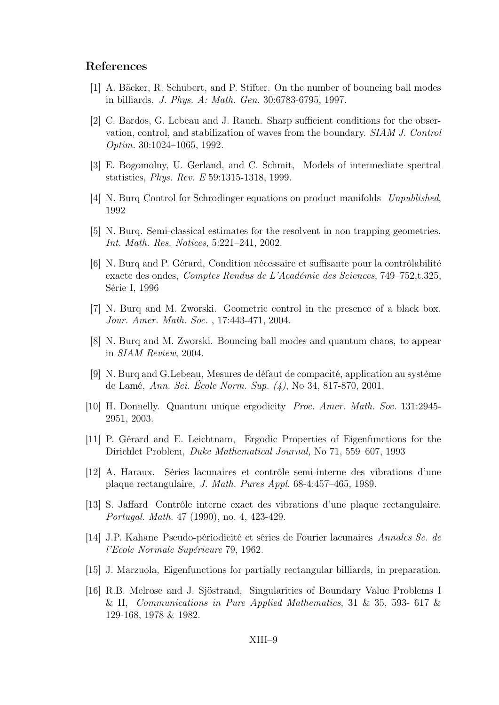#### References

- [1] A. Bäcker, R. Schubert, and P. Stifter. On the number of bouncing ball modes in billiards. J. Phys. A: Math. Gen. 30:6783-6795, 1997.
- [2] C. Bardos, G. Lebeau and J. Rauch. Sharp sufficient conditions for the observation, control, and stabilization of waves from the boundary. SIAM J. Control Optim. 30:1024–1065, 1992.
- [3] E. Bogomolny, U. Gerland, and C. Schmit, Models of intermediate spectral statistics, Phys. Rev. E 59:1315-1318, 1999.
- [4] N. Burq Control for Schrodinger equations on product manifolds Unpublished, 1992
- [5] N. Burq. Semi-classical estimates for the resolvent in non trapping geometries. Int. Math. Res. Notices, 5:221–241, 2002.
- [6] N. Burq and P. Gérard, Condition nécessaire et suffisante pour la contrôlabilité exacte des ondes, Comptes Rendus de L'Académie des Sciences, 749–752,t.325, Série I, 1996
- [7] N. Burq and M. Zworski. Geometric control in the presence of a black box. Jour. Amer. Math. Soc. , 17:443-471, 2004.
- [8] N. Burq and M. Zworski. Bouncing ball modes and quantum chaos, to appear in SIAM Review, 2004.
- [9] N. Burq and G.Lebeau, Mesures de défaut de compacité, application au système de Lamé, Ann. Sci. École Norm. Sup. (4), No 34, 817-870, 2001.
- [10] H. Donnelly. Quantum unique ergodicity Proc. Amer. Math. Soc. 131:2945- 2951, 2003.
- [11] P. Gérard and E. Leichtnam, Ergodic Properties of Eigenfunctions for the Dirichlet Problem, Duke Mathematical Journal, No 71, 559–607, 1993
- [12] A. Haraux. Séries lacunaires et contrôle semi-interne des vibrations d'une plaque rectangulaire, J. Math. Pures Appl. 68-4:457–465, 1989.
- [13] S. Jaffard Contrôle interne exact des vibrations d'une plaque rectangulaire. Portugal. Math. 47 (1990), no. 4, 423-429.
- [14] J.P. Kahane Pseudo-périodicité et séries de Fourier lacunaires Annales Sc. de l'Ecole Normale Supérieure 79, 1962.
- [15] J. Marzuola, Eigenfunctions for partially rectangular billiards, in preparation.
- [16] R.B. Melrose and J. Sjöstrand, Singularities of Boundary Value Problems I & II, Communications in Pure Applied Mathematics, 31 & 35, 593- 617 & 129-168, 1978 & 1982.